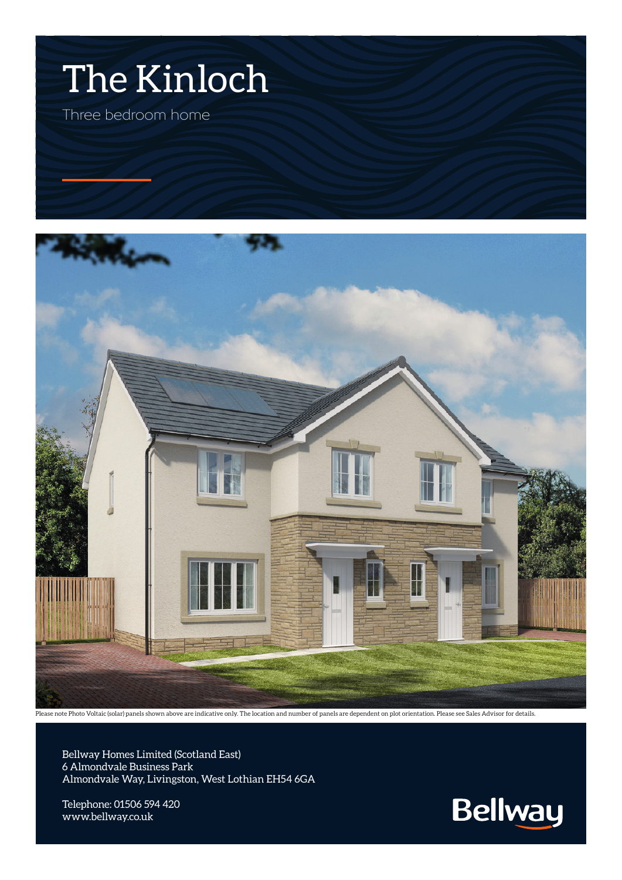



Please note Photo Voltaic (solar) panels shown above are indicative only. The location and number of panels are dependent on plot orientation. Please see Sales Advisor for details.

Bellway Homes Limited (Scotland East) 6 Almondvale Business Park Almondvale Way, Livingston, West Lothian EH54 6GA

Telephone: 01506 594 420 www.bellway.co.uk